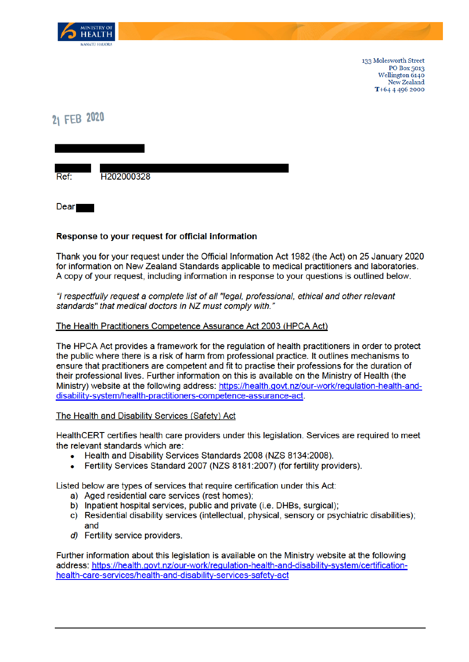

133 Molesworth Street PO Box 5013 Wellington 6140 New Zealand T+64 4 496 2000

# 21 FEB 2020

H202000328 **Ref** 

**Dear** 

### Response to your request for official information

Thank you for your request under the Official Information Act 1982 (the Act) on 25 January 2020 for information on New Zealand Standards applicable to medical practitioners and laboratories. A copy of your request, including information in response to your questions is outlined below.

#### "I respectfully request a complete list of all "legal, professional, ethical and other relevant standards" that medical doctors in NZ must comply with."

### The Health Practitioners Competence Assurance Act 2003 (HPCA Act)

The HPCA Act provides a framework for the regulation of health practitioners in order to protect the public where there is a risk of harm from professional practice. It outlines mechanisms to ensure that practitioners are competent and fit to practise their professions for the duration of their professional lives. Further information on this is available on the Ministry of Health (the Ministry) website at the following address: https://health.govt.nz/our-work/regulation-health-anddisability-system/health-practitioners-competence-assurance-act.

#### The Health and Disability Services (Safety) Act

HealthCERT certifies health care providers under this legislation. Services are required to meet the relevant standards which are:

- Health and Disability Services Standards 2008 (NZS 8134:2008).  $\bullet$
- Fertility Services Standard 2007 (NZS 8181:2007) (for fertility providers).

Listed below are types of services that require certification under this Act:

- a) Aged residential care services (rest homes);
- b) Inpatient hospital services, public and private (i.e. DHBs, surgical):
- c) Residential disability services (intellectual, physical, sensory or psychiatric disabilities); and
- d) Fertility service providers.

Further information about this legislation is available on the Ministry website at the following address: https://health.govt.nz/our-work/regulation-health-and-disability-system/certificationhealth-care-services/health-and-disability-services-safety-act